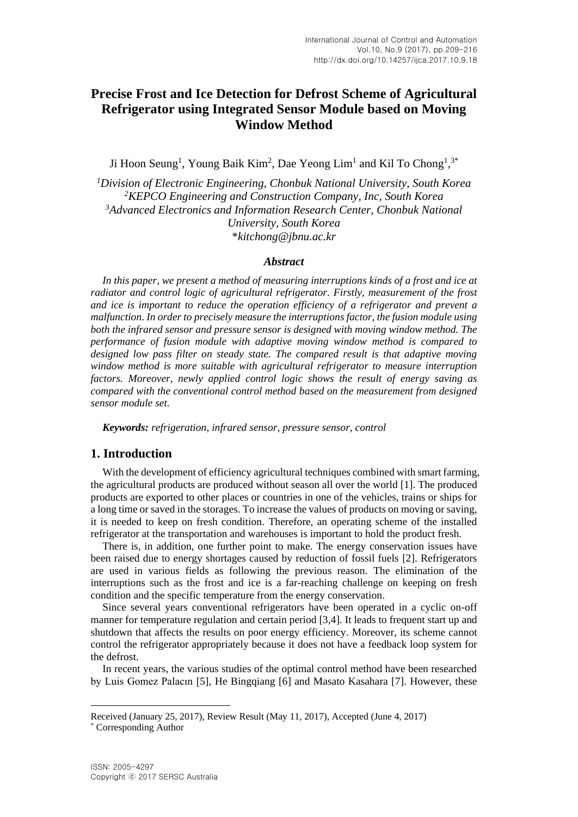# **Precise Frost and Ice Detection for Defrost Scheme of Agricultural Refrigerator using Integrated Sensor Module based on Moving Window Method**

Ji Hoon Seung<sup>1</sup>, Young Baik Kim<sup>2</sup>, Dae Yeong Lim<sup>1</sup> and Kil To Chong<sup>1</sup>,<sup>3\*</sup>

*<sup>1</sup>Division of Electronic Engineering, Chonbuk National University, South Korea <sup>2</sup>KEPCO Engineering and Construction Company, Inc, South Korea <sup>3</sup>Advanced Electronics and Information Research Center, Chonbuk National University, South Korea* \**kitchong@jbnu.ac.kr*

#### *Abstract*

*In this paper, we present a method of measuring interruptions kinds of a frost and ice at radiator and control logic of agricultural refrigerator. Firstly, measurement of the frost and ice is important to reduce the operation efficiency of a refrigerator and prevent a malfunction. In order to precisely measure the interruptions factor, the fusion module using both the infrared sensor and pressure sensor is designed with moving window method. The performance of fusion module with adaptive moving window method is compared to designed low pass filter on steady state. The compared result is that adaptive moving window method is more suitable with agricultural refrigerator to measure interruption factors. Moreover, newly applied control logic shows the result of energy saving as compared with the conventional control method based on the measurement from designed sensor module set.*

*Keywords: refrigeration, infrared sensor, pressure sensor, control*

#### **1. Introduction**

With the development of efficiency agricultural techniques combined with smart farming, the agricultural products are produced without season all over the world [1]. The produced products are exported to other places or countries in one of the vehicles, trains or ships for a long time or saved in the storages. To increase the values of products on moving or saving, it is needed to keep on fresh condition. Therefore, an operating scheme of the installed refrigerator at the transportation and warehouses is important to hold the product fresh.

There is, in addition, one further point to make. The energy conservation issues have been raised due to energy shortages caused by reduction of fossil fuels [2]. Refrigerators are used in various fields as following the previous reason. The elimination of the interruptions such as the frost and ice is a far-reaching challenge on keeping on fresh condition and the specific temperature from the energy conservation.

Since several years conventional refrigerators have been operated in a cyclic on-off manner for temperature regulation and certain period [3,4]. It leads to frequent start up and shutdown that affects the results on poor energy efficiency. Moreover, its scheme cannot control the refrigerator appropriately because it does not have a feedback loop system for the defrost.

In recent years, the various studies of the optimal control method have been researched by Luis Gomez Palacın [5], He Bingqiang [6] and Masato Kasahara [7]. However, these

 $\overline{a}$ 

Received (January 25, 2017), Review Result (May 11, 2017), Accepted (June 4, 2017) \* Corresponding Author

ISSN: 2005-4297 Copyright ⓒ 2017 SERSC Australia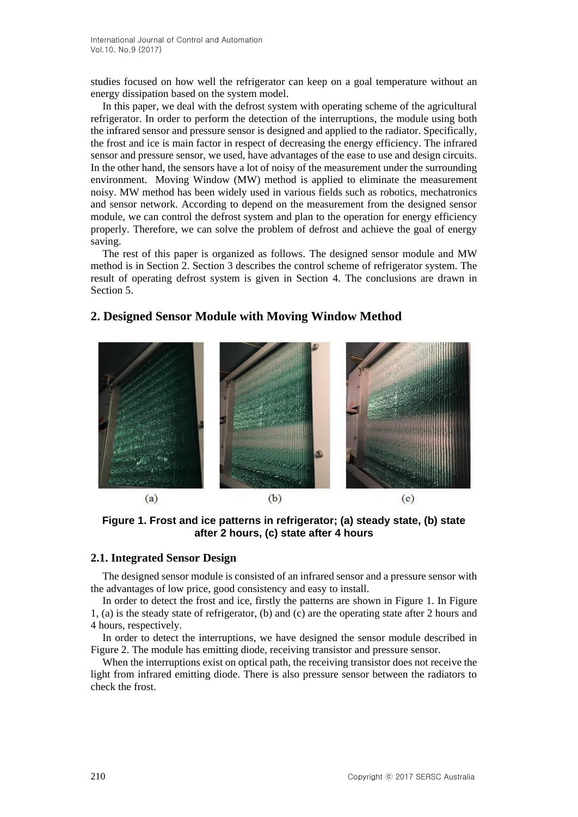studies focused on how well the refrigerator can keep on a goal temperature without an energy dissipation based on the system model.

In this paper, we deal with the defrost system with operating scheme of the agricultural refrigerator. In order to perform the detection of the interruptions, the module using both the infrared sensor and pressure sensor is designed and applied to the radiator. Specifically, the frost and ice is main factor in respect of decreasing the energy efficiency. The infrared sensor and pressure sensor, we used, have advantages of the ease to use and design circuits. In the other hand, the sensors have a lot of noisy of the measurement under the surrounding environment. Moving Window (MW) method is applied to eliminate the measurement noisy. MW method has been widely used in various fields such as robotics, mechatronics and sensor network. According to depend on the measurement from the designed sensor module, we can control the defrost system and plan to the operation for energy efficiency properly. Therefore, we can solve the problem of defrost and achieve the goal of energy saving.

The rest of this paper is organized as follows. The designed sensor module and MW method is in Section 2. Section 3 describes the control scheme of refrigerator system. The result of operating defrost system is given in Section 4. The conclusions are drawn in Section 5.

# $(b)$  $(a)$  $(c)$

# **2. Designed Sensor Module with Moving Window Method**

**Figure 1. Frost and ice patterns in refrigerator; (a) steady state, (b) state after 2 hours, (c) state after 4 hours** 

#### **2.1. Integrated Sensor Design**

The designed sensor module is consisted of an infrared sensor and a pressure sensor with the advantages of low price, good consistency and easy to install.

In order to detect the frost and ice, firstly the patterns are shown in Figure 1. In Figure 1, (a) is the steady state of refrigerator, (b) and (c) are the operating state after 2 hours and 4 hours, respectively.

In order to detect the interruptions, we have designed the sensor module described in Figure 2. The module has emitting diode, receiving transistor and pressure sensor.

When the interruptions exist on optical path, the receiving transistor does not receive the light from infrared emitting diode. There is also pressure sensor between the radiators to check the frost.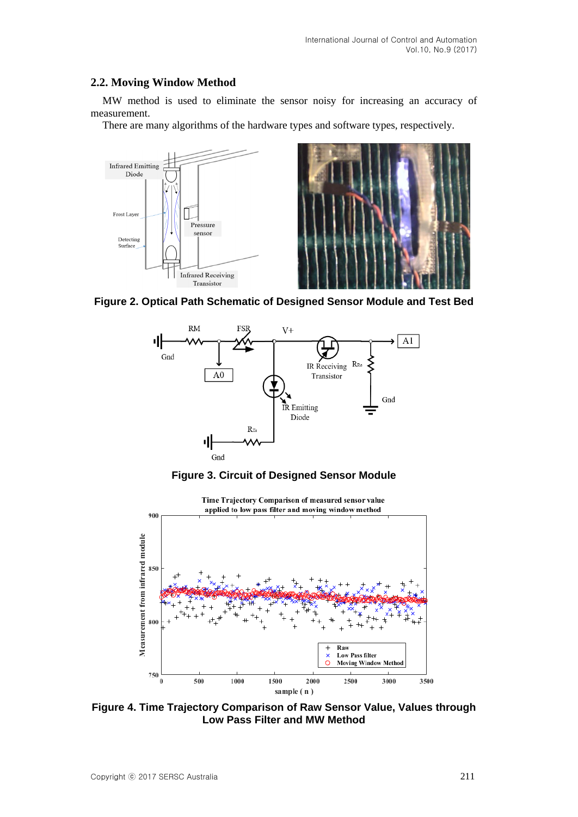### **2.2. Moving Window Method**

MW method is used to eliminate the sensor noisy for increasing an accuracy of measurement.

There are many algorithms of the hardware types and software types, respectively.



**Figure 2. Optical Path Schematic of Designed Sensor Module and Test Bed**







**Figure 4. Time Trajectory Comparison of Raw Sensor Value, Values through Low Pass Filter and MW Method**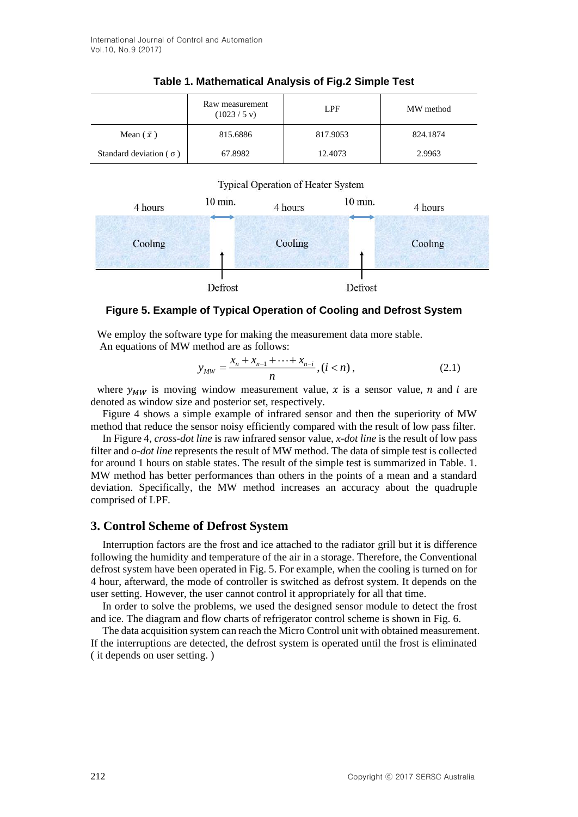|                                 | Raw measurement<br>$(1023 / 5 \text{ v})$ | LPF      | MW method |
|---------------------------------|-------------------------------------------|----------|-----------|
| Mean $(\bar{x})$                | 815.6886                                  | 817.9053 | 824.1874  |
| Standard deviation ( $\sigma$ ) | 67.8982                                   | 12.4073  | 2.9963    |

#### **Table 1. Mathematical Analysis of Fig.2 Simple Test**





#### **Figure 5. Example of Typical Operation of Cooling and Defrost System**

We employ the software type for making the measurement data more stable.

An equations of MW method are as follows:  
\n
$$
y_{MW} = \frac{x_n + x_{n-1} + \dots + x_{n-i}}{n}, (i < n),
$$
\n(2.1)

where  $y_{MW}$  is moving window measurement value, x is a sensor value, n and i are denoted as window size and posterior set, respectively.

Figure 4 shows a simple example of infrared sensor and then the superiority of MW method that reduce the sensor noisy efficiently compared with the result of low pass filter.

In Figure 4, *cross-dot line* is raw infrared sensor value, *x-dot line* is the result of low pass filter and *o-dot line* represents the result of MW method. The data of simple test is collected for around 1 hours on stable states. The result of the simple test is summarized in Table. 1. MW method has better performances than others in the points of a mean and a standard deviation. Specifically, the MW method increases an accuracy about the quadruple comprised of LPF.

#### **3. Control Scheme of Defrost System**

Interruption factors are the frost and ice attached to the radiator grill but it is difference following the humidity and temperature of the air in a storage. Therefore, the Conventional defrost system have been operated in Fig. 5. For example, when the cooling is turned on for 4 hour, afterward, the mode of controller is switched as defrost system. It depends on the user setting. However, the user cannot control it appropriately for all that time.

In order to solve the problems, we used the designed sensor module to detect the frost and ice. The diagram and flow charts of refrigerator control scheme is shown in Fig. 6.

The data acquisition system can reach the Micro Control unit with obtained measurement. If the interruptions are detected, the defrost system is operated until the frost is eliminated ( it depends on user setting. )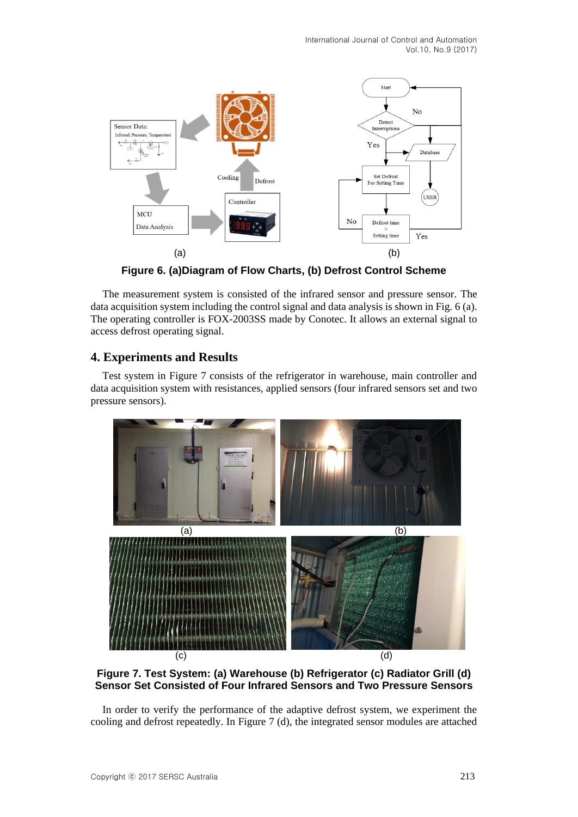International Journal of Control and Automation Vol.10, No.9 (2017)



**Figure 6. (a)Diagram of Flow Charts, (b) Defrost Control Scheme**

The measurement system is consisted of the infrared sensor and pressure sensor. The data acquisition system including the control signal and data analysis is shown in Fig. 6 (a). The operating controller is FOX-2003SS made by Conotec. It allows an external signal to access defrost operating signal.

## **4. Experiments and Results**

Test system in Figure 7 consists of the refrigerator in warehouse, main controller and data acquisition system with resistances, applied sensors (four infrared sensors set and two pressure sensors).



**Figure 7. Test System: (a) Warehouse (b) Refrigerator (c) Radiator Grill (d) Sensor Set Consisted of Four Infrared Sensors and Two Pressure Sensors**

In order to verify the performance of the adaptive defrost system, we experiment the cooling and defrost repeatedly. In Figure 7 (d), the integrated sensor modules are attached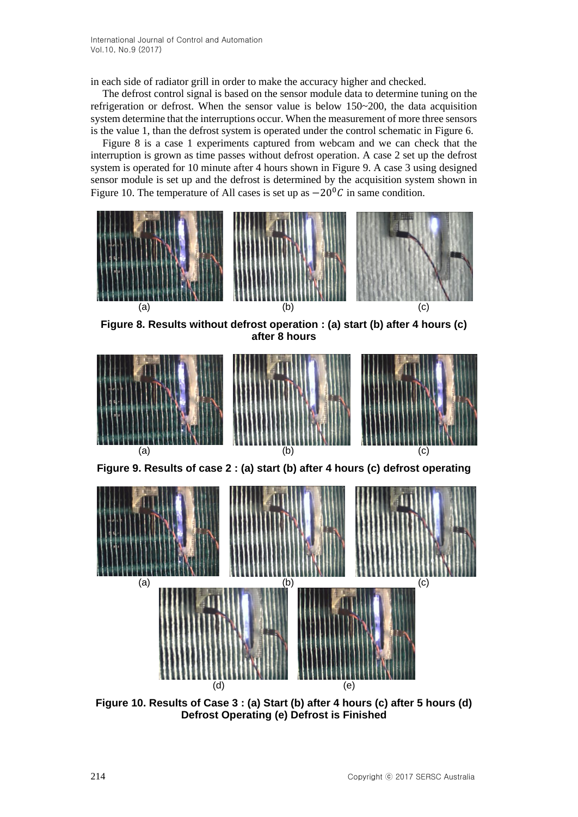in each side of radiator grill in order to make the accuracy higher and checked.

The defrost control signal is based on the sensor module data to determine tuning on the refrigeration or defrost. When the sensor value is below 150~200, the data acquisition system determine that the interruptions occur. When the measurement of more three sensors is the value 1, than the defrost system is operated under the control schematic in Figure 6.

Figure 8 is a case 1 experiments captured from webcam and we can check that the interruption is grown as time passes without defrost operation. A case 2 set up the defrost system is operated for 10 minute after 4 hours shown in Figure 9. A case 3 using designed sensor module is set up and the defrost is determined by the acquisition system shown in Figure 10. The temperature of All cases is set up as  $-20\degree C$  in same condition.



**Figure 10. Results of Case 3 : (a) Start (b) after 4 hours (c) after 5 hours (d) Defrost Operating (e) Defrost is Finished**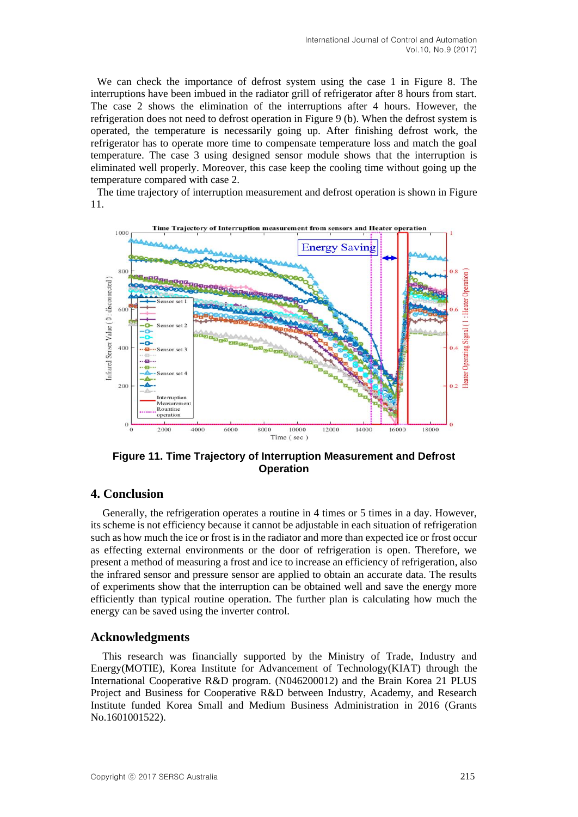We can check the importance of defrost system using the case 1 in Figure 8. The interruptions have been imbued in the radiator grill of refrigerator after 8 hours from start. The case 2 shows the elimination of the interruptions after 4 hours. However, the refrigeration does not need to defrost operation in Figure 9 (b). When the defrost system is operated, the temperature is necessarily going up. After finishing defrost work, the refrigerator has to operate more time to compensate temperature loss and match the goal temperature. The case 3 using designed sensor module shows that the interruption is eliminated well properly. Moreover, this case keep the cooling time without going up the temperature compared with case 2.

The time trajectory of interruption measurement and defrost operation is shown in Figure 11.



**Figure 11. Time Trajectory of Interruption Measurement and Defrost Operation**

## **4. Conclusion**

Generally, the refrigeration operates a routine in 4 times or 5 times in a day. However, its scheme is not efficiency because it cannot be adjustable in each situation of refrigeration such as how much the ice or frost is in the radiator and more than expected ice or frost occur as effecting external environments or the door of refrigeration is open. Therefore, we present a method of measuring a frost and ice to increase an efficiency of refrigeration, also the infrared sensor and pressure sensor are applied to obtain an accurate data. The results of experiments show that the interruption can be obtained well and save the energy more efficiently than typical routine operation. The further plan is calculating how much the energy can be saved using the inverter control.

#### **Acknowledgments**

This research was financially supported by the Ministry of Trade, Industry and Energy(MOTIE), Korea Institute for Advancement of Technology(KIAT) through the International Cooperative R&D program. (N046200012) and the Brain Korea 21 PLUS Project and Business for Cooperative R&D between Industry, Academy, and Research Institute funded Korea Small and Medium Business Administration in 2016 (Grants No.1601001522).